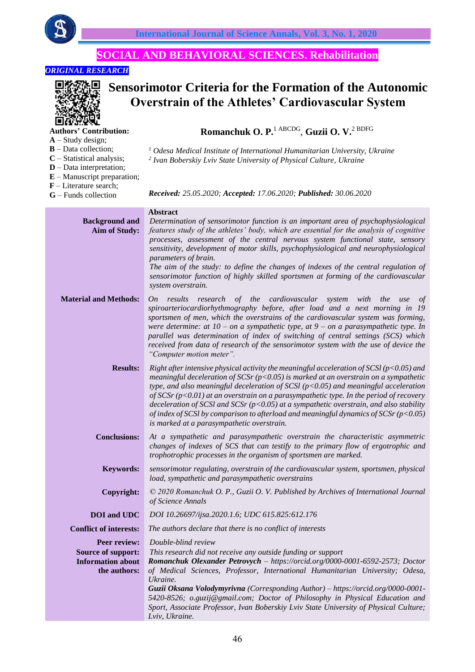

# **SOCIAL AND BEHAVIORAL SCIENCES. Rehabilitation**

# *ORIGINAL RESEARCH*



**A** – Study design; **B** – Data collection; **C** – Statistical analysis;

# **Sensorimotor Criteria for the Formation of the Autonomic Overstrain of the Athletes' Cardiovascular System**

# **Romanchuk O. P.**1 ABCDG , **Guzii O. V.**2 BDFG

*<sup>1</sup> Odesa Medical Institute of International Humanitarian University, Ukraine*

*2 Ivan Boberskiy Lviv State University of Physical Culture, Ukraine*

- **D** Data interpretation; **E** – Manuscript preparation;
- **F** Literature search;
- **G** Funds collection
- *Received: 25.05.2020; Accepted: 17.06.2020; Published: 30.06.2020*

| <b>Background and</b><br><b>Aim of Study:</b>                                         | <b>Abstract</b><br>Determination of sensorimotor function is an important area of psychophysiological<br>features study of the athletes' body, which are essential for the analysis of cognitive<br>processes, assessment of the central nervous system functional state, sensory<br>sensitivity, development of motor skills, psychophysiological and neurophysiological<br>parameters of brain.<br>The aim of the study: to define the changes of indexes of the central regulation of<br>sensorimotor function of highly skilled sportsmen at forming of the cardiovascular<br>system overstrain.                        |
|---------------------------------------------------------------------------------------|-----------------------------------------------------------------------------------------------------------------------------------------------------------------------------------------------------------------------------------------------------------------------------------------------------------------------------------------------------------------------------------------------------------------------------------------------------------------------------------------------------------------------------------------------------------------------------------------------------------------------------|
| <b>Material and Methods:</b>                                                          | research of the cardiovascular system<br>results<br>with<br>the<br>On<br>use<br>of<br>spiroarteriocardiorhythmography before, after load and a next morning in 19<br>sportsmen of men, which the overstrains of the cardiovascular system was forming,<br>were determine: at $10$ – on a sympathetic type, at $9$ – on a parasympathetic type. In<br>parallel was determination of index of switching of central settings (SCS) which<br>received from data of research of the sensorimotor system with the use of device the<br>"Computer motion meter".                                                                   |
| <b>Results:</b>                                                                       | Right after intensive physical activity the meaningful acceleration of SCSI ( $p<0.05$ ) and<br>meaningful deceleration of $SCSr$ ( $p<0.05$ ) is marked at an overstrain on a sympathetic<br>type, and also meaningful deceleration of SCSI ( $p$ <0.05) and meaningful acceleration<br>of SCSr ( $p$ <0.01) at an overstrain on a parasympathetic type. In the period of recovery<br>deceleration of SCSI and SCSr ( $p$ <0.05) at a sympathetic overstrain, and also stability<br>of index of SCSI by comparison to afterload and meaningful dynamics of SCSr ( $p$ <0.05)<br>is marked at a parasympathetic overstrain. |
| <b>Conclusions:</b>                                                                   | At a sympathetic and parasympathetic overstrain the characteristic asymmetric<br>changes of indexes of SCS that can testify to the primary flow of ergotrophic and<br>trophotrophic processes in the organism of sportsmen are marked.                                                                                                                                                                                                                                                                                                                                                                                      |
| <b>Keywords:</b>                                                                      | sensorimotor regulating, overstrain of the cardiovascular system, sportsmen, physical<br>load, sympathetic and parasympathetic overstrains                                                                                                                                                                                                                                                                                                                                                                                                                                                                                  |
| Copyright:                                                                            | © 2020 Romanchuk O. P., Guzii O. V. Published by Archives of International Journal<br>of Science Annals                                                                                                                                                                                                                                                                                                                                                                                                                                                                                                                     |
| <b>DOI</b> and UDC                                                                    | DOI 10.26697/ijsa.2020.1.6; UDC 615.825:612.176                                                                                                                                                                                                                                                                                                                                                                                                                                                                                                                                                                             |
| <b>Conflict of interests:</b>                                                         | The authors declare that there is no conflict of interests                                                                                                                                                                                                                                                                                                                                                                                                                                                                                                                                                                  |
| Peer review:<br><b>Source of support:</b><br><b>Information about</b><br>the authors: | Double-blind review<br>This research did not receive any outside funding or support<br>Romanchuk Olexander Petrovych - https://orcid.org/0000-0001-6592-2573; Doctor<br>of Medical Sciences, Professor, International Humanitarian University; Odesa,<br>Ukraine.<br>Guzii Oksana Volodymyrivna (Corresponding Author) - https://orcid.org/0000-0001-<br>5420-8526; o.guzij@gmail.com; Doctor of Philosophy in Physical Education and<br>Sport, Associate Professor, Ivan Boberskiy Lviv State University of Physical Culture;<br>Lviv, Ukraine.                                                                            |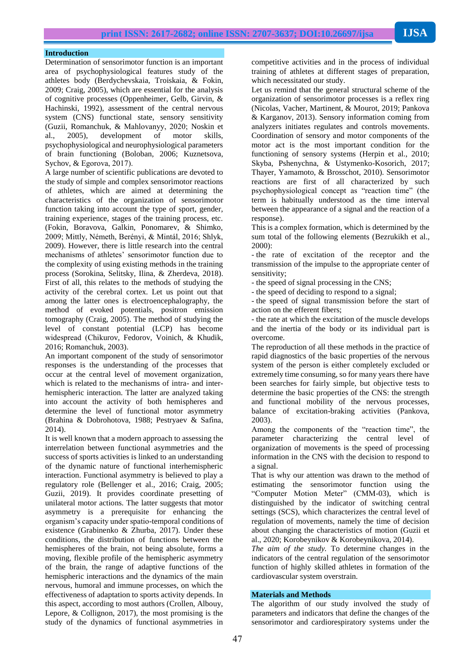#### **Introduction**

Determination of sensorimotor function is an important area of psychophysiological features study of the athletes body (Berdychevskaia, Troiskaia, & Fokin, 2009; Craig, 2005), which are essential for the analysis of cognitive processes (Oppenheimer, Gelb, Girvin, & Hachinski, 1992), assessment of the central nervous system (CNS) functional state, sensory sensitivity (Guzii, Romanchuk, & Мahlovanyy, 2020; Noskin et al., 2005), development of motor skills, psychophysiological and neurophysiological parameters of brain functioning (Boloban, 2006; Kuznetsova, Sychov, & Egorova, 2017).

A large number of scientific publications are devoted to the study of simple and complex sensorimotor reactions of athletes, which are aimed at determining the characteristics of the organization of sensorimotor function taking into account the type of sport, gender, training experience, stages of the training process, etc. (Fokin, Boravova, Galkin, Ponomarev, & Shimko, 2009; Mittly, Németh, Berényi, & Mintál, 2016; Shlyk, 2009). However, there is little research into the central mechanisms of athletes' sensorimotor function due to the complexity of using existing methods in the training process (Sorokina, Selitsky, Ilina, & Zherdeva, 2018). First of all, this relates to the methods of studying the activity of the cerebral cortex. Let us point out that among the latter ones is electroencephalography, the method of evoked potentials, positron emission tomography (Craig, 2005). The method of studying the level of constant potential (LCP) has become widespread (Сhikurov, Fedorov, Voinich, & Khudik, 2016; Romanchuk, 2003).

An important component of the study of sensorimotor responses is the understanding of the processes that occur at the central level of movement organization, which is related to the mechanisms of intra- and interhemispheric interaction. The latter are analyzed taking into account the activity of both hemispheres and determine the level of functional motor asymmetry (Brahina & Dobrohotova, 1988; Pestryaev & Sаfina, 2014).

It is well known that a modern approach to assessing the interrelation between functional asymmetries and the success of sports activities is linked to an understanding of the dynamic nature of functional interhemispheric interaction. Functional asymmetry is believed to play a regulatory role (Bellenger et al., 2016; Craig, 2005; Guzii, 2019). It provides coordinate presetting of unilateral motor actions. The latter suggests that motor asymmetry is a prerequisite for enhancing the organism's capacity under spatio-temporal conditions of existence (Grabinenko & Zhurba, 2017). Under these conditions, the distribution of functions between the hemispheres of the brain, not being absolute, forms a moving, flexible profile of the hemispheric asymmetry of the brain, the range of adaptive functions of the hemispheric interactions and the dynamics of the main nervous, humoral and immune processes, on which the effectiveness of adaptation to sports activity depends. In this aspect, according to most authors (Crollen, Albouy, Lepore, & Collignon, 2017), the most promising is the study of the dynamics of functional asymmetries in

competitive activities and in the process of individual training of athletes at different stages of preparation, which necessitated our study.

Let us remind that the general structural scheme of the organization of sensorimotor processes is a reflex ring (Nicolas, Vacher, Martinent, & Mourot, 2019; Pankova & Karganov, 2013). Sensory information coming from analyzers initiates regulates and controls movements. Coordination of sensory and motor components of the motor act is the most important condition for the functioning of sensory systems (Herpin et al., 2010; Skyba, Pshenychna, & Ustymenko-Kosorich, 2017; Thayer, Yamamoto, & Brosschot, 2010). Sensorimotor reactions are first of all characterized by such psychophysiological concept as "reaction time" (the term is habitually understood as the time interval between the appearance of a signal and the reaction of a response).

This is a complex formation, which is determined by the sum total of the following elements (Bezrukikh et al., 2000):

- the rate of excitation of the receptor and the transmission of the impulse to the appropriate center of sensitivity;

- the speed of signal processing in the CNS;

- the speed of deciding to respond to a signal;

- the speed of signal transmission before the start of action on the efferent fibers;

- the rate at which the excitation of the muscle develops and the inertia of the body or its individual part is overcome.

The reproduction of all these methods in the practice of rapid diagnostics of the basic properties of the nervous system of the person is either completely excluded or extremely time consuming, so for many years there have been searches for fairly simple, but objective tests to determine the basic properties of the CNS: the strength and functional mobility of the nervous processes, balance of excitation-braking activities (Pankova, 2003).

Among the components of the "reaction time", the parameter characterizing the central level of organization of movements is the speed of processing information in the CNS with the decision to respond to a signal.

That is why our attention was drawn to the method of estimating the sensorimotor function using the "Computer Motion Meter" (CMM-03), which is distinguished by the indicator of switching central settings (SCS), which characterizes the central level of regulation of movements, namely the time of decision about changing the characteristics of motion (Guzii et al., 2020; Korobeynikov & Korobeynikova, 2014).

*The aim of the study.* To determine changes in the indicators of the central regulation of the sensorimotor function of highly skilled athletes in formation of the cardiovascular system overstrain.

## **Materials and Methods**

The algorithm of our study involved the study of parameters and indicators that define the changes of the sensorimotor and cardiorespiratory systems under the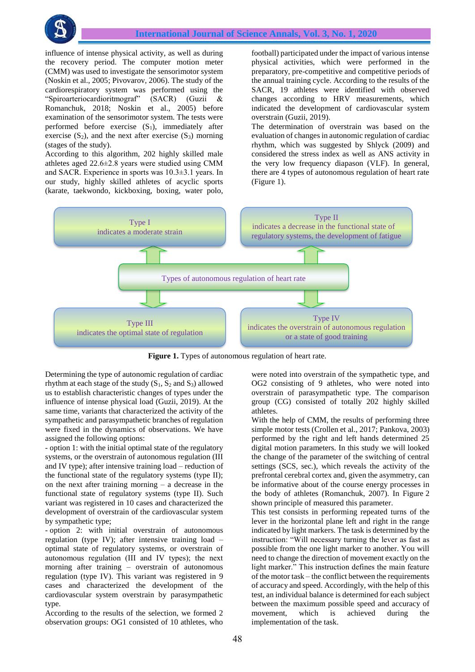

influence of intense physical activity, as well as during the recovery period. The computer motion meter (CMM) was used to investigate the sensorimotor system (Noskin et al., 2005; Pivovarov, 2006). The study of the cardiorespiratory system was performed using the "Spiroarteriocardioritmograf" (SACR) (Guzii & Romanchuk, 2018; Noskin et al., 2005) before examination of the sensorimotor system. The tests were performed before exercise  $(S_1)$ , immediately after exercise  $(S_2)$ , and the next after exercise  $(S_3)$  morning (stages of the study).

According to this algorithm, 202 highly skilled male athletes aged 22.6±2.8 years were studied using CMM and SACR. Experience in sports was 10.3±3.1 years. In our study, highly skilled athletes of acyclic sports (karate, taekwondo, kickboxing, boxing, water polo,

football) participated under the impact of various intense physical activities, which were performed in the preparatory, pre-competitive and competitive periods of the annual training cycle. According to the results of the SACR, 19 athletes were identified with observed changes according to HRV measurements, which indicated the development of cardiovascular system overstrain (Guzii, 2019).

The determination of overstrain was based on the evaluation of changes in autonomic regulation of cardiac rhythm, which was suggested by Shlyck (2009) and considered the stress index as well as ANS activity in the very low frequency diapason (VLF). In general, there are 4 types of autonomous regulation of heart rate (Figure 1).



**Figure 1.** Types of autonomous regulation of heart rate.

Determining the type of autonomic regulation of cardiac rhythm at each stage of the study  $(S_1, S_2 \text{ and } S_3)$  allowed us to establish characteristic changes of types under the influence of intense physical load (Guzii, 2019). At the same time, variants that characterized the activity of the sympathetic and parasympathetic branches of regulation were fixed in the dynamics of observations. We have assigned the following options:

- option 1: with the initial optimal state of the regulatory systems, or the overstrain of autonomous regulation (III and IV type); after intensive training load – reduction of the functional state of the regulatory systems (type II); on the next after training morning – a decrease in the functional state of regulatory systems (type II). Such variant was registered in 10 cases and characterized the development of overstrain of the cardiovascular system by sympathetic type;

- option 2: with initial overstrain of autonomous regulation (type IV); after intensive training load – optimal state of regulatory systems, or overstrain of autonomous regulation (ІІІ and ІV types); the next morning after training – overstrain of autonomous regulation (type IV). This variant was registered in 9 cases and characterized the development of the cardiovascular system overstrain by parasympathetic type.

According to the results of the selection, we formed 2 observation groups: OG1 consisted of 10 athletes, who

were noted into overstrain of the sympathetic type, and OG2 consisting of 9 athletes, who were noted into overstrain of parasympathetic type. The comparison group (CG) consisted of totally 202 highly skilled athletes.

With the help of CMM, the results of performing three simple motor tests (Crollen et al., 2017; Pankova, 2003) performed by the right and left hands determined 25 digital motion parameters. In this study we will looked the change of the parameter of the switching of central settings (SCS, sec.), which reveals the activity of the prefrontal cerebral cortex and, given the asymmetry, can be informative about of the course energy processes in the body of athletes (Romanchuk, 2007). In Figure 2 shown principle of measured this parameter.

This test consists in performing repeated turns of the lever in the horizontal plane left and right in the range indicated by light markers. The task is determined by the instruction: "Will necessary turning the lever as fast as possible from the one light marker to another. You will need to change the direction of movement exactly on the light marker." This instruction defines the main feature of the motor task – the conflict between the requirements of accuracy and speed. Accordingly, with the help of this test, an individual balance is determined for each subject between the maximum possible speed and accuracy of movement, which is achieved during the implementation of the task.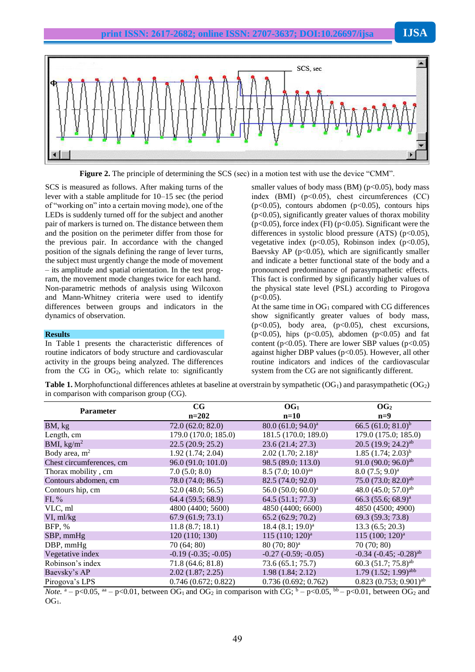

**Figure 2.** The principle of determining the SCS (sec) in a motion test with use the device "CMM".

SCS is measured as follows. After making turns of the lever with a stable amplitude for 10–15 sec (the period of "working on" into a certain moving mode), one of the LEDs is suddenly turned off for the subject and another pair of markers is turned on. The distance between them and the position on the perimeter differ from those for the previous pair. In accordance with the changed position of the signals defining the range of lever turns, the subject must urgently change the mode of movement – its amplitude and spatial orientation. In the test program, the movement mode changes twice for each hand. Non-parametric methods of analysis using Wilcoxon and Mann-Whitney criteria were used to identify differences between groups and indicators in the dynamics of observation.

#### **Results**

In Table 1 presents the characteristic differences of routine indicators of body structure and cardiovascular activity in the groups being analyzed. The differences from the CG in  $OG_2$ , which relate to: significantly

smaller values of body mass  $(BM)$  ( $p<0.05$ ), body mass index (BMI) (p<0.05), chest circumferences (СC)  $(p<0.05)$ , contours abdomen  $(p<0.05)$ , contours hips  $(p<0.05)$ , significantly greater values of thorax mobility  $(p<0.05)$ , force index (FI)  $(p<0.05)$ . Significant were the differences in systolic blood pressure  $(ATS)$  (p<0.05), vegetative index  $(p<0.05)$ , Robinson index  $(p<0.05)$ , Baevsky AP ( $p<0.05$ ), which are significantly smaller and indicate a better functional state of the body and a pronounced predominance of parasympathetic effects. This fact is confirmed by significantly higher values of the physical state level (PSL) according to Pirogova  $(p<0.05)$ .

At the same time in  $OG_1$  compared with CG differences show significantly greater values of body mass,  $(p<0.05)$ , body area,  $(p<0.05)$ , chest excursions, (p<0.05), hips (p<0.05), abdomen (p<0.05) and fat content ( $p<0.05$ ). There are lower SBP values ( $p<0.05$ ) against higher DBP values (p<0.05). However, all other routine indicators and indices of the cardiovascular system from the CG are not significantly different.

**Table 1.** Morphofunctional differences athletes at baseline at overstrain by sympathetic (OG<sub>1</sub>) and parasympathetic (OG<sub>2</sub>) in comparison with comparison group (CG).

| <b>Parameter</b>         | $_{\rm CG}$           | OG <sub>1</sub>                 | OG <sub>2</sub>                        |
|--------------------------|-----------------------|---------------------------------|----------------------------------------|
|                          | $n=202$               | $n=10$                          | $n=9$                                  |
| BM, kg                   | 72.0(62.0; 82.0)      | 80.0 (61.0; 94.0) <sup>a</sup>  | 66.5 $(61.0; 81.0)^b$                  |
| Length, cm               | 179.0 (170.0; 185.0)  | 181.5 (170.0; 189.0)            | 179.0 (175.0; 185.0)                   |
| BMI, $\text{kg/m}^2$     | 22.5(20.9; 25.2)      | 23.6(21.4; 27.3)                | 20.5 (19.9; 24.2) <sup>ab</sup>        |
| Body area, $m2$          | 1.92(1.74; 2.04)      | $2.02$ $(1.70; 2.18)^a$         | $1.85(1.74; 2.03)^{b}$                 |
| Chest circumferences, cm | 96.0 (91.0; 101.0)    | 98.5 (89.0; 113.0)              | 91.0 (90.0; 96.0) <sup>ab</sup>        |
| Thorax mobility, cm      | 7.0(5.0; 8.0)         | $8.5$ (7.0; 10.0) <sup>aa</sup> | $8.0 (7.5; 9.0)^a$                     |
| Contours abdomen, cm     | 78.0 (74.0; 86.5)     | 82.5 (74.0; 92.0)               | 75.0 $(73.0; 82.0)^{ab}$               |
| Contours hip, cm         | 52.0(48.0; 56.5)      | 56.0 $(50.0; 60.0)^a$           | 48.0 (45.0; 57.0) <sup>ab</sup>        |
| $FI, \%$                 | 64.4 (59.5; 68.9)     | 64.5 (51.1; 77.3)               | 66.3 (55.6; 68.9) <sup>a</sup>         |
| VLC, ml                  | 4800 (4400; 5600)     | 4850 (4400; 6600)               | 4850 (4500; 4900)                      |
| VI, ml/kg                | 67.9(61.9; 73.1)      | 65.2(62.9; 70.2)                | 69.3 (59.3; 73.8)                      |
| BFP, %                   | 11.8(8.7; 18.1)       | 18.4 (8.1; 19.0) <sup>a</sup>   | 13.3(6.5; 20.3)                        |
| SBP, mmHg                | 120 (110; 130)        | $115 (110; 120)^a$              | 115 (100; 120) <sup>a</sup>            |
| $DBP$ , mm $Hg$          | 70 (64; 80)           | $80(70; 80)^a$                  | 70(70; 80)                             |
| Vegetative index         | $-0.19(-0.35; -0.05)$ | $-0.27(-0.59; -0.05)$           | $-0.34$ $(-0.45; -0.28)$ <sup>ab</sup> |
| Robinson's index         | 71.8 (64.6; 81.8)     | 73.6(65.1; 75.7)                | 60.3 (51.7; 75.8) <sup>ab</sup>        |
| Baevsky's AP             | 2.02(1.87; 2.25)      | 1.98(1.84; 2.12)                | $1.79$ $(1.52; 1.99)$ <sup>abb</sup>   |
| Pirogova's LPS           | 0.746(0.672; 0.822)   | 0.736(0.692; 0.762)             | $0.823(0.753; 0.901)^{ab}$             |

*Note.*  $a - p \le 0.05$ ,  $a^2 - p \le 0.01$ , between OG<sub>1</sub> and OG<sub>2</sub> in comparison with CG;  $b - p \le 0.05$ ,  $b^2 - p \le 0.01$ , between OG<sub>2</sub> and  $OG<sub>1</sub>$ .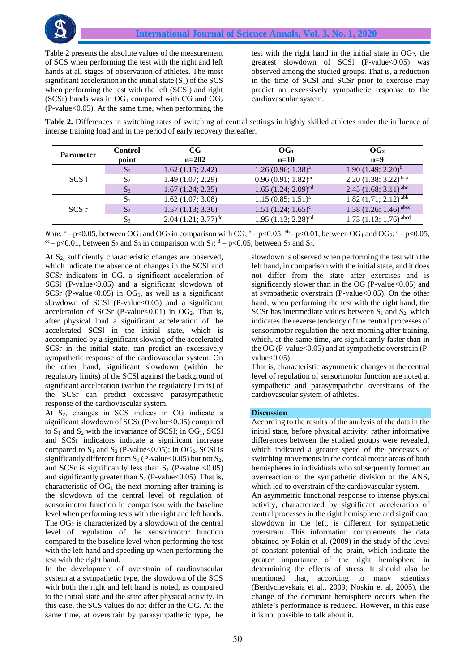Table 2 presents the absolute values of the measurement of SCS when performing the test with the right and left hands at all stages of observation of athletes. The most significant acceleration in the initial state  $(S_1)$  of the SCS when performing the test with the left (SCSl) and right (SCSr) hands was in  $OG_1$  compared with CG and  $OG_2$  $(P-value<0.05)$ . At the same time, when performing the

test with the right hand in the initial state in  $OG_2$ , the greatest slowdown of SCSl  $(P-value<0.05)$  was observed among the studied groups. That is, a reduction in the time of SCSl and SCSr prior to exercise may predict an excessively sympathetic response to the cardiovascular system.

**Table 2.** Differences in switching rates of switching of central settings in highly skilled athletes under the influence of intense training load and in the period of early recovery thereafter.

| <b>Parameter</b> | <b>Control</b><br>point | $_{\rm CG}$<br>$n=202$  | OG <sub>1</sub><br>$n=10$         | OG <sub>2</sub><br>$n=9$              |
|------------------|-------------------------|-------------------------|-----------------------------------|---------------------------------------|
| SCS1             | $S_1$                   | 1.62(1.15; 2.42)        | 1.26(0.96; 1.38) <sup>a</sup>     | $1.90 (1.49; 2.20)^{b}$               |
|                  | $S_2$                   | 1.49(1.07; 2.29)        | $0.96(0.91; 1.82)^{ac}$           | $2.20(1.38; 3.22)^{bca}$              |
|                  | S <sub>3</sub>          | 1.67(1.24; 2.35)        | $1.65$ $(1.24; 2.09)^{cd}$        | $2.45(1.68; 3.11)^{abc}$              |
| SCS r            | $S_1$                   | 1.62(1.07; 3.08)        | $1.15(0.85; 1.51)^{a}$            | $1.82$ $(1.71; 2.12)$ <sup>abb</sup>  |
|                  | S <sub>2</sub>          | 1.57(1.13; 3.36)        | $1.51 (1.24; 1.65)^c$             | $1.38$ $(1.26; 1.46)$ <sup>abcc</sup> |
|                  | $S_3$                   | $2.04(1.21; 3.77)^{dc}$ | $1.95$ (1.13; 2.28) <sup>cd</sup> | $1.73$ $(1.13; 1.76)$ <sup>abcd</sup> |

*Note.*  $a - p < 0.05$ , between OG<sub>1</sub> and OG<sub>2</sub> in comparison with CG;  $b - p < 0.05$ ,  $b - p < 0.01$ , between OG<sub>1</sub> and OG<sub>2</sub>;  $c - p < 0.05$ ,  $\alpha$  – p<0.01, between S<sub>2</sub> and S<sub>3</sub> in comparison with S<sub>1</sub>; <sup>d</sup> – p<0.05, between S<sub>2</sub> and S<sub>3</sub>.

At S<sub>2</sub>, sufficiently characteristic changes are observed, which indicate the absence of changes in the SCSl and SCSr indicators in CG, a significant acceleration of SCSI (P-value $< 0.05$ ) and a significant slowdown of SCSr (P-value $< 0.05$ ) in OG<sub>1</sub>, as well as a significant slowdown of SCSI (P-value $<0.05$ ) and a significant acceleration of SCSr (P-value<0.01) in OG<sub>2</sub>. That is, after physical load a significant acceleration of the accelerated SCSl in the initial state, which is accompanied by a significant slowing of the accelerated SCSr in the initial state, can predict an excessively sympathetic response of the cardiovascular system. On the other hand, significant slowdown (within the regulatory limits) of the SCSl against the background of significant acceleration (within the regulatory limits) of the SCSr can predict excessive parasympathetic response of the cardiovascular system.

At S<sub>2</sub>, changes in SCS indices in CG indicate a significant slowdown of SCSr (P-value<0.05) compared to  $S_1$  and  $S_2$  with the invariance of SCSI; in OG<sub>1</sub>, SCSI and SCSr indicators indicate a significant increase compared to  $S_1$  and  $S_2$  (P-value < 0.05); in OG<sub>2</sub>, SCS1 is significantly different from  $S_1$  (P-value < 0.05) but not  $S_2$ , and SCSr is significantly less than  $S_1$  (P-value <0.05) and significantly greater than  $S_2$  (P-value < 0.05). That is, characteristic of  $OG_1$  the next morning after training is the slowdown of the central level of regulation of sensorimotor function in comparison with the baseline level when performing tests with the right and left hands. The  $OG_2$  is characterized by a slowdown of the central level of regulation of the sensorimotor function compared to the baseline level when performing the test with the left hand and speeding up when performing the test with the right hand.

In the development of overstrain of cardiovascular system at a sympathetic type, the slowdown of the SCS with both the right and left hand is noted, as compared to the initial state and the state after physical activity. In this case, the SCS values do not differ in the OG. At the same time, at overstrain by parasympathetic type, the

slowdown is observed when performing the test with the left hand, in comparison with the initial state, and it does not differ from the state after exercises and is significantly slower than in the OG (P-value $< 0.05$ ) and at sympathetic overstrain (P-value $< 0.05$ ). On the other hand, when performing the test with the right hand, the SCSr has intermediate values between  $S_1$  and  $S_2$ , which indicates the reverse tendency of the central processes of sensorimotor regulation the next morning after training, which, at the same time, are significantly faster than in the OG (P-value $<$ 0.05) and at sympathetic overstrain (Pvalue $<0.05$ ).

That is, characteristic asymmetric changes at the central level of regulation of sensorimotor function are noted at sympathetic and parasympathetic overstrains of the cardiovascular system of athletes.

## **Discussion**

According to the results of the analysis of the data in the initial state, before physical activity, rather informative differences between the studied groups were revealed, which indicated a greater speed of the processes of switching movements in the cortical motor areas of both hemispheres in individuals who subsequently formed an overreaction of the sympathetic division of the ANS, which led to overstrain of the cardiovascular system.

An asymmetric functional response to intense physical activity, characterized by significant acceleration of central processes in the right hemisphere and significant slowdown in the left, is different for sympathetic overstrain. This information complements the data obtained by Fokin et al. (2009) in the study of the level of constant potential of the brain, which indicate the greater importance of the right hemisphere in determining the effects of stress. It should also be mentioned that, according to many scientists (Berdychevskaia et al., 2009; Noskin et al, 2005), the change of the dominant hemisphere occurs when the athlete's performance is reduced. However, in this case it is not possible to talk about it.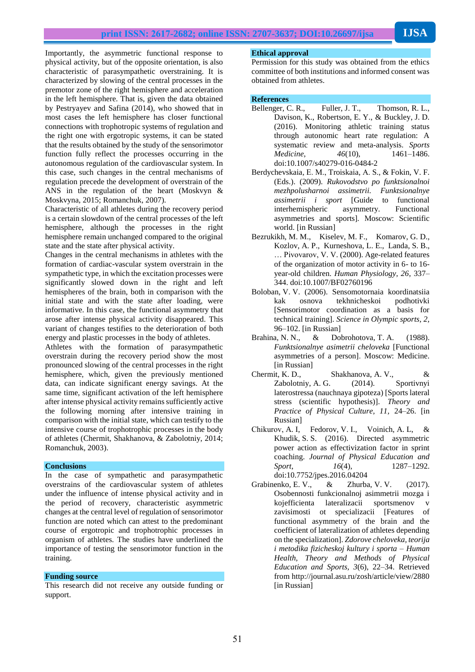Importantly, the asymmetric functional response to physical activity, but of the opposite orientation, is also characteristic of parasympathetic overstraining. It is characterized by slowing of the central processes in the premotor zone of the right hemisphere and acceleration in the left hemisphere. That is, given the data obtained by Pestryayev and Safina (2014), who showed that in most cases the left hemisphere has closer functional connections with trophotropic systems of regulation and the right one with ergotropic systems, it can be stated that the results obtained by the study of the sensorimotor function fully reflect the processes occurring in the autonomous regulation of the cardiovascular system. In this case, such changes in the central mechanisms of regulation precede the development of overstrain of the ANS in the regulation of the heart (Moskvyn & Moskvyna, 2015; Romanchuk, 2007).

Characteristic of all athletes during the recovery period is a certain slowdown of the central processes of the left hemisphere, although the processes in the right hemisphere remain unchanged compared to the original state and the state after physical activity.

Changes in the central mechanisms in athletes with the formation of cardiac-vascular system overstrain in the sympathetic type, in which the excitation processes were significantly slowed down in the right and left hemispheres of the brain, both in comparison with the initial state and with the state after loading, were informative. In this case, the functional asymmetry that arose after intense physical activity disappeared. This variant of changes testifies to the deterioration of both energy and plastic processes in the body of athletes.

Athletes with the formation of parasympathetic overstrain during the recovery period show the most pronounced slowing of the central processes in the right hemisphere, which, given the previously mentioned data, can indicate significant energy savings. At the same time, significant activation of the left hemisphere after intense physical activity remains sufficiently active the following morning after intensive training in comparison with the initial state, which can testify to the intensive course of trophotrophic processes in the body of athletes (Chermit, Shakhanova, & Zabolotniy, 2014; Romanchuk, 2003).

## **Conclusions**

In the case of sympathetic and parasympathetic overstrains of the cardiovascular system of athletes under the influence of intense physical activity and in the period of recovery, characteristic asymmetric changes at the central level of regulation of sensorimotor function are noted which can attest to the predominant course of ergotropic and trophotrophic processes in organism of athletes. The studies have underlined the importance of testing the sensorimotor function in the training.

#### **Funding source**

This research did not receive any outside funding or support.

#### **Ethical approval**

Permission for this study was obtained from the ethics committee of both institutions and informed consent was obtained from athletes.

## **References**

- Bellenger, C. R., Fuller, J. T., Thomson, R. L., Davison, K., Robertson, E. Y., & Buckley, J. D. (2016). Monitoring athletic training status through autonomic heart rate regulation: A systematic review and meta-analysis. *Sports Medicine*, *46*(10), 1461–1486. doi:10.1007/s40279-016-0484-2
- Berdychevskaia, Е. М., Troiskaia, А. S., & Fokin, V. F. (Eds.). (2009). *Rukovodstvo po funktsionalnoi mezhpolusharnoi assimetrii. Funktsionalnye assimetrii i sport* [Guide to functional interhemispheric asymmetry. Functional asymmetries and sports]*.* Мoscow: Scientific world. [in Russian]
- Bezrukikh, M. M., Kiselev, M. F., Komarov, G. D., Kozlov, A. P., Kurneshova, L. E., Landa, S. B., … Pivovarov, V. V. (2000). Age-related features of the organization of motor activity in 6- to 16 year-old children. *Human Physiology, 26*, 337– 344[. doi:10.1007/BF02760196](https://doi.org/10.1007/BF02760196)
- Boloban, V. V. (2006). Sensomotornaia koordinatsiia kak osnova tekhnicheskoi podhotivki [Sensorimotor coordination as a basis for technical training]. *Science in Olympic sports, 2,* 96–102. [in Russian]
- Brahina, N. N., & Dobrohotova, T. A. (1988). *Funktsionalnye asimetrii cheloveka* [Functional asymmetries of a person]. Мoscow: Medicine. [in Russian]
- Chermit, K. D., Shakhanova, A. V., & Zabolotniy, A. G. (2014). Sportivnyi laterostressa (nauchnaya gipoteza) [Sports lateral stress (scientific hypothesis)]. *Theory and Practice of Physical Culture, 11,* 24–26. [in Russian]
- Сhikurov, A. I, Fedorov, V. I., Voinich, A. L, & Khudik, S. S. (2016). Directed asymmetric power action as effectivization factor in sprint coaching. *Journal of Physical Education and Sport*, *16*(4), 1287–1292. doi:10.7752/jpes.2016.04204
- Grabinenko, E. V., & Zhurba, V. V. (2017). Osobennosti funkcionalnoj asimmetrii mozga i kojefficienta lateralizacii sportsmenov v zavisimosti ot specializacii [Features of functional asymmetry of the brain and the coefficient of lateralization of athletes depending on the specialization]. *Zdorove cheloveka, teorija i metodika fizicheskoj kultury i sporta – Human Health, Theory and Methods of Physical Education and Sports, 3*(6), 22–34. Retrieved from http://journal.asu.ru/zosh/article/view/2880 [in Russian]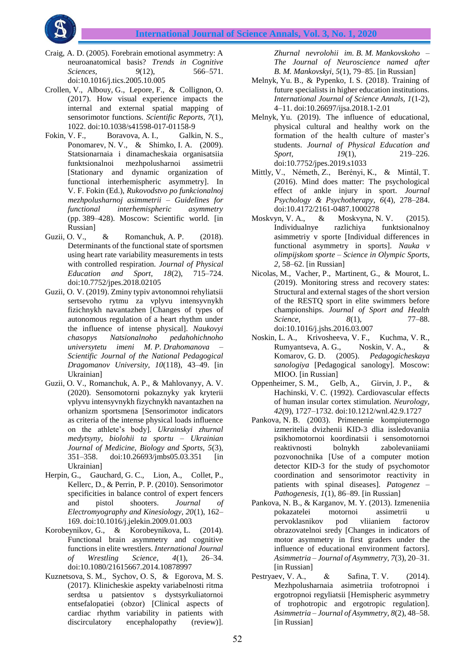

- Craig, A. D. (2005). Forebrain emotional asymmetry: A neuroanatomical basis? *Trends in Cognitive Sciences,* 9(12), 566–571. doi:10.1016/j.tics.2005.10.005
- Crollen, V., Albouy, G., Lepore, F., & Collignon, O. (2017). How visual experience impacts the internal and external spatial mapping of sensorimotor functions. *Scientific Reports, 7*(1), 1022. doi:10.1038/s41598-017-01158-9
- Fokin, V. F., Boravova, A. I., Galkin, N. S., Ponomarev, N. V., & Shimko, I. A. (2009). Statsionarnaia i dinamacheskaia organisatsiia funktsionalnoi mezhpolusharnoi assimetrii [Stationary and dynamic organization of functional interhemispheric asymmetry]. In V. F. Fokin (Ed.), *Rukovodstvo po funkcionalnoj mezhpolusharnoj asimmetrii – Guidelines for functional interhemispheric asymmetry* (pp. 389–428). Moscow: Scientific world. [in Russian]
- Guzii, O. V., & Romanchuk, A. P. (2018). Determinants of the functional state of sportsmen using heart rate variability measurements in tests with controlled respiration. *Journal of Physical Education and Sport, 18*(2), 715–724. doi:10.7752/jpes.2018.02105
- Guzii, O. V. (2019). Zminy typiv avtonomnoi rehyliatsii sertsevoho rytmu za vplyvu intensyvnykh fizichnykh navantazhen [Changes of types of autonomous regulation of a heart rhythm under the influence of intense physical]. *Naukovyi chasopys Natsionalnoho pedahohichnoho universytetu imeni M. P. Drahomanova – Scientific Journal of the National Pedagogical Dragomanov University, 10*(118), 43–49. [in Ukrainian]
- Guzii, O. V., Romanchuk, A. P., & Мahlovanyy, A. V. (2020). Sensomotorni pokaznyky yak kryterii vplyvu intensyvnykh fizychnykh navantazhen na orhanizm sportsmena [Sensorimotor indicators as criteria of the intense physical loads influence on the athlete's body]. *Ukrainskyi zhurnal medytsyny, biolohii ta sportu – Ukrainian Journal of Medicine, Biology and Sports, 5*(3), 351–358. doi:10.26693/jmbs05.03.351 [in Ukrainian]
- Herpin, G., Gauchard, G. C., Lion, A., Collet, P., Kellerc, D., & Perrin, P. P. (2010). Sensorimotor specificities in balance control of expert fencers and pistol shooters. *Journal of Electromyography and Kinesiology, 20*(1), 162– 169. doi:10.1016/j.jelekin.2009.01.003
- Korobeynikov, G., & Korobeynikova, L. (2014). Functional brain asymmetry and cognitive functions in elite wrestlers. *International Journal of Wrestling Science, 4*(1), 26–34. doi:10.1080/21615667.2014.10878997
- Kuznetsova, S. M., Sychov, О. S, & Еgоrоvа, М. S. (2017). Klinicheskie aspekty variabelnosti ritma serdtsa u patsientov s dystsyrkuliatornoi entsefalopatiei (оbzor) [Clinical aspects of cardiac rhythm variability in patients with discirculatory encephalopathy (review)].

*Zhurnal nevrolohii im. B. M. Mankovskoho – The Journal of Neuroscience named after B. M. Mankovskyi*, *5*(1), 79–85. [in Russian]

- Melnyk, Yu. B., & Pypenko, I. S. (2018). Training of future specialists in higher education institutions. *International Journal of Science Annals, 1*(1-2), 4–11. doi:10.26697/ijsa.2018.1-2.01
- Melnyk, Yu. (2019). The influence of educational, physical cultural and healthy work on the formation of the health culture of master's students. *Journal of Physical Education and Sport, 19*(1), 219–226. doi:10.7752/jpes.2019.s1033
- Mittly, V., Németh, Z., Berényi, K., & Mintál, T. (2016). Mind does matter: The psychological effect of ankle injury in sport. *Journal Psychology & Psychotherapy, 6*(4)*,* 278–284. doi:10.4172/2161-0487.1000278
- Moskvyn, V. A., & Moskvyna, N. V. (2015). Individualnye razlichiya funktsionalnoy asimmetriy v sporte [Individual differences in functional asymmetry in sports]. *Nauka v olimpijskom sporte – Science in Olympic Sports, 2,* 58–62. [in Russian]
- Nicolas, M., Vacher, P., Martinent, G., & Mourot, L. (2019). Monitoring stress and recovery states: Structural and external stages of the short version of the RESTQ sport in elite swimmers before championships. *Journal of Sport and Health Science, 8*(1), 77–88. doi:10.1016/j.jshs.2016.03.007
- Noskin, L. A., Krivosheeva, V. F., Kuchma, V. R., Rumyantseva, A. G., Noskin, V. A., & Komarov, G. D. (2005). *Pedagogicheskaya sanologiya* [Pedagogical sanology]. Moscow: МІОО. [in Russian]
- Oppenheimer, S. M., Gelb, A., Girvin, J. P., & Hachinski, V. C. (1992). Cardiovascular effects of human insular cortex stimulation. *Neurology, 42*(9), 1727–1732. doi:10.1212/wnl.42.9.1727
- Pankova, N. B. (2003). Primenenie kompiuternogo izmeritelia dvizhenii KID-3 dlia issledovaniia psikhomotornoi koordinatsii i sensomotornoi reaktivnosti bolnykh zabolevaniiami pozvonochnika [Use of a computer motion detector KID-3 for the study of psychomotor coordination and sensorimotor reactivity in patients with spinal diseases]. *Patogenez – Pathogenesis, 1*(1), 86–89. [in Russian]
- Pankova, N. B., & Karganov, M. Y. (2013). Izmeneniia pokazatelei motornoi assimetrii u pervoklasnikov pod vliianiem factorov obrazovatelnoi sredy [Changes in indicators of motor asymmetry in first graders under the influence of educational environment factors]. *Asimmetria – Journal of Asymmetry, 7*(3), 20–31. [in Russian]
- Pestryaev, V. A., & Safina, T. V. (2014). Mezhpolusharnaia asimetriia trofotropnoi i ergotropnoi regyliatsii [Hemispheric asymmetry of trophotropic and ergotropic regulation]. *Asimmetria – Journal of Asymmetry, 8*(2), 48–58. [in Russian]